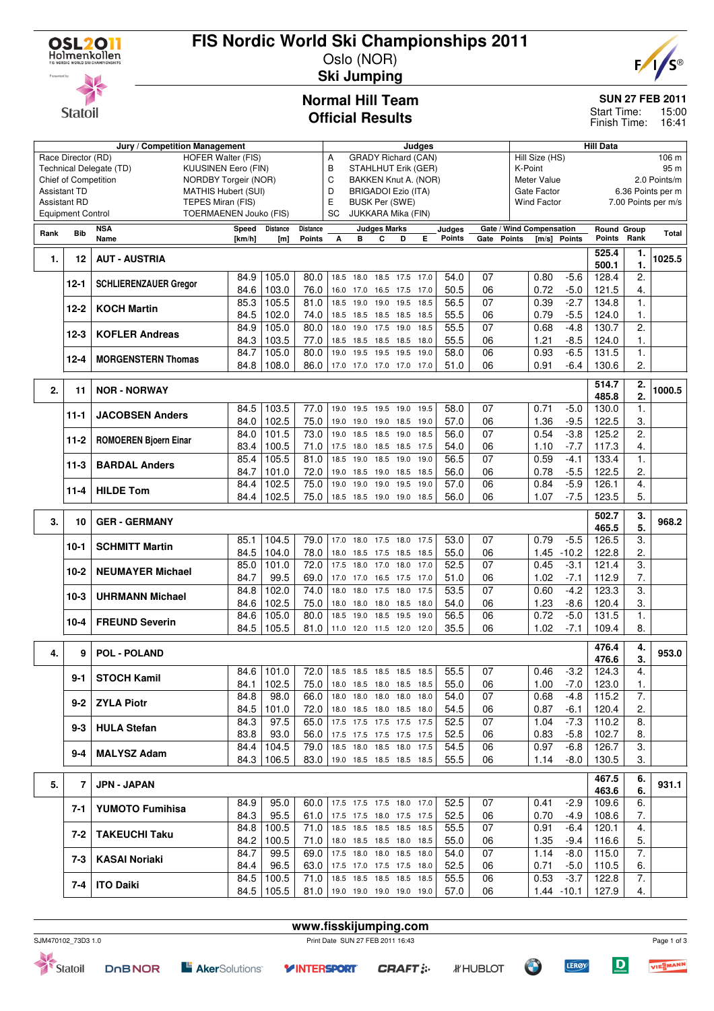

Race Director (RD) Technical Delegate (TD) Chief of Competition Assistant TD Assistant RD Equipment Control

**Statoil** 

**Rank Bib NSA**

# **FIS Nordic World Ski Championships 2011**

Oslo (NOR) **Ski Jumping**



**SUN 27 FEB 2011**

15:00 16:41 Start Time: Finish Time:

**Normal Hill Team Official Results**

|                  |                    | Jury / Competition Management |                               |                  |                 |      |                            |                     |           | Judges |               |                          |               |                    |               | <b>Hill Data</b> |                |                     |
|------------------|--------------------|-------------------------------|-------------------------------|------------------|-----------------|------|----------------------------|---------------------|-----------|--------|---------------|--------------------------|---------------|--------------------|---------------|------------------|----------------|---------------------|
|                  | ce Director (RD)   |                               | <b>HOFER Walter (FIS)</b>     |                  |                 | A    | <b>GRADY Richard (CAN)</b> |                     |           |        |               |                          |               | Hill Size (HS)     |               |                  |                | 106 m               |
|                  |                    | chnical Delegate (TD)         | <b>KUUSINEN Eero (FIN)</b>    |                  |                 | В    | STAHLHUT Erik (GER)        |                     |           |        |               |                          | K-Point       |                    |               |                  |                | 95 m                |
|                  | ief of Competition |                               | <b>NORDBY Torgeir (NOR)</b>   |                  |                 | С    | BAKKEN Knut A. (NOR)       |                     |           |        |               |                          |               | Meter Value        |               |                  |                | 2.0 Points/m        |
|                  | sistant TD         |                               | <b>MATHIS Hubert (SUI)</b>    |                  |                 | D    | <b>BRIGADOI Ezio (ITA)</b> |                     |           |        |               |                          |               | Gate Factor        |               |                  |                | 6.36 Points per m   |
|                  | sistant RD         |                               | TEPES Miran (FIS)             |                  |                 | E    | <b>BUSK Per (SWE)</b>      |                     |           |        |               |                          |               | <b>Wind Factor</b> |               |                  |                | 7.00 Points per m/s |
|                  | uipment Control    |                               | <b>TOERMAENEN Jouko (FIS)</b> |                  |                 | SC   | JUKKARA Mika (FIN)         |                     |           |        |               |                          |               |                    |               |                  |                |                     |
|                  | <b>Bib</b>         | <b>NSA</b>                    | Speed                         | <b>Distance</b>  | <b>Distance</b> |      |                            | <b>Judges Marks</b> |           |        | Judges        | Gate / Wind Compensation |               |                    |               | Round Group      |                | <b>Total</b>        |
| nk               |                    | Name                          | [km/h]                        | [ <sub>m</sub> ] | Points          | A    | в                          | С                   | D         | E.     | <b>Points</b> | Gate                     | <b>Points</b> | $\mathsf{[m/s]}$   | <b>Points</b> | <b>Points</b>    | Rank           |                     |
|                  | 12                 | <b>AUT - AUSTRIA</b>          |                               |                  |                 |      |                            |                     |           |        |               |                          |               |                    |               | 525.4            | 1.             |                     |
| 1.               |                    |                               |                               |                  |                 |      |                            |                     |           |        |               |                          |               |                    |               | 500.1            | 1.             | 1025.5              |
|                  | $12 - 1$           |                               | 84.9                          | 105.0            | 80.0            | 18.5 | 18.0                       | 18.5                | 17.5      | 17.0   | 54.0          | 07                       |               | 0.80               | $-5.6$        | 128.4            | 2.             |                     |
|                  |                    | <b>SCHLIERENZAUER Gregor</b>  | 84.6                          | 103.0            | 76.0            |      | 16.0 17.0                  | 16.5 17.5           |           | 17.0   | 50.5          | 06                       |               | 0.72               | $-5.0$        | 121.5            | 4.             |                     |
|                  | $12 - 2$           | <b>KOCH Martin</b>            | 85.3                          | 105.5            | 81.0            | 18.5 | 19.0                       | 19.0 19.5           |           | 18.5   | 56.5          | 07                       |               | 0.39               | $-2.7$        | 134.8            | 1.             |                     |
|                  |                    |                               | 84.5                          | 102.0            | 74.0            | 18.5 | 18.5                       |                     | 18.5 18.5 | 18.5   | 55.5          | 06                       |               | 0.79               | $-5.5$        | 124.0            |                |                     |
|                  | $12 - 3$           | <b>KOFLER Andreas</b>         | 84.9                          | 105.0            | 80.0            | 18.0 | 19.0                       | 17.5                | 19.0      | 18.5   | 55.5          | 07                       |               | 0.68               | $-4.8$        | 130.7            | 2.             |                     |
|                  |                    |                               | 84.3                          | 103.5            | 77.0            | 18.5 | 18.5                       | 18.5                | 18.5      | 18.0   | 55.5          | 06                       |               | 1.21               | $-8.5$        | 124.0            |                |                     |
|                  | $12 - 4$           | <b>MORGENSTERN Thomas</b>     | 84.7                          | 105.0            | 80.0            | 19.0 | 19.5                       | 19.5                | 19.5      | 19.0   | 58.0          | 06                       |               | 0.93               | $-6.5$        | 131.5            | 1.             |                     |
|                  |                    |                               | 84.8                          | 108.0            | 86.0            |      | 17.0 17.0 17.0 17.0 17.0   |                     |           |        | 51.0          | 06                       |               | 0.91               | $-6.4$        | 130.6            | 2.             |                     |
|                  |                    |                               |                               |                  |                 |      |                            |                     |           |        |               |                          |               |                    |               | 514.7            |                |                     |
| $\overline{2}$ . | 11                 | <b>NOR - NORWAY</b>           |                               |                  |                 |      |                            |                     |           |        |               |                          |               |                    |               | 485.8            | 2.<br>2.       | 1000.5              |
|                  |                    |                               |                               |                  |                 |      |                            |                     |           |        |               |                          |               |                    |               |                  |                |                     |
|                  | $11 - 1$           | <b>JACOBSEN Anders</b>        | 84.5                          | 103.5            | 77.0            | 19.0 | 19.5                       | 19.5                | 19.0      | 19.5   | 58.0          | 07                       |               | 0.71               | $-5.0$        | 130.0            |                |                     |
|                  |                    |                               | 84.0                          | 102.5            | 75.0            | 19.0 | 19.0                       |                     | 19.0 18.5 | 19.0   | 57.0          | 06                       |               | 1.36               | $-9.5$        | 122.5            | 3.             |                     |
|                  | $11-2$             | <b>ROMOEREN Bioern Einar</b>  | 84.0                          | 101.5            | 73.0            | 19.0 | 18.5                       | 18.5                | 19.0      | 18.5   | 56.0          | 07                       |               | 0.54               | $-3.8$        | 125.2            | $\overline{2}$ |                     |
|                  |                    |                               | 83.4                          | 100.5            | 71.0            | 17.5 | 18.0                       | 18.5                | 18.5      | 17.5   | 54.0          | 06                       |               | 1.10               | $-7.7$        | 117.3            | 4.             |                     |
|                  | $\sim$             | -------                       | 85.4                          | 105.5            | 81.0            | 18.5 | 19.0                       | 18.5                | 19.0      | 19.0   | 56.5          | 07                       |               | 0.59               | $-4.1$        | 133.4            |                |                     |

|    | $11-3$   | <b>BARDAL Anders</b>    | 80.4 | C.CUT | 81.U                          | 18.5 19.0 18.5           |      |                          | 19.U | - 19.U | C.OC | U  | U.ວອ | -4. I   | 33.4 ا    |        |       |
|----|----------|-------------------------|------|-------|-------------------------------|--------------------------|------|--------------------------|------|--------|------|----|------|---------|-----------|--------|-------|
|    |          |                         | 84.7 | 101.0 | 72.0                          | 19.0                     | 18.5 | 19.0                     | 18.5 | 18.5   | 56.0 | 06 | 0.78 | $-5.5$  | 122.5     | 2.     |       |
|    | 11-4     | <b>HILDE Tom</b>        | 84.4 | 102.5 | 75.0                          | 19.0 19.0 19.0 19.5 19.0 |      |                          |      |        | 57.0 | 06 | 0.84 | -5.9    | 126.1     | 4.     |       |
|    |          |                         | 84.4 | 102.5 | 75.0                          | 18.5 18.5 19.0 19.0 18.5 |      |                          |      |        | 56.0 | 06 | 1.07 | -7.5    | 123.5     | 5.     |       |
|    |          |                         |      |       |                               |                          |      |                          |      |        |      |    |      |         |           |        |       |
| 3. | 10       | <b>GER - GERMANY</b>    |      |       |                               |                          |      |                          |      |        |      |    |      |         | 502.7     | 3.     | 968.2 |
|    |          |                         |      |       |                               |                          |      |                          |      |        |      |    |      |         | 465.5     | 5.     |       |
|    |          | <b>SCHMITT Martin</b>   | 85.1 | 104.5 | 79.0                          |                          |      | 17.0 18.0 17.5 18.0 17.5 |      |        | 53.0 | 07 | 0.79 | $-5.5$  | 126.5     | 3.     |       |
|    | 10-1     |                         | 84.5 | 104.0 | 78.0                          | 18.0 18.5 17.5 18.5 18.5 |      |                          |      |        | 55.0 | 06 | 1.45 | $-10.2$ | 122.8     | 2.     |       |
|    | $10-2$   | <b>NEUMAYER Michael</b> | 85.0 | 101.0 | 72.0 l                        | 17.5 18.0 17.0 18.0 17.0 |      |                          |      |        | 52.5 | 07 | 0.45 | $-3.1$  | 121.4     | 3.     |       |
|    |          |                         | 84.7 | 99.5  | 69.0                          | 17.0 17.0 16.5 17.5 17.0 |      |                          |      |        | 51.0 | 06 | 1.02 | $-7.1$  | 112.9     | 7.     |       |
|    |          | <b>UHRMANN Michael</b>  | 84.8 | 102.0 | 74.0                          | 18.0 18.0 17.5 18.0 17.5 |      |                          |      |        | 53.5 | 07 | 0.60 | $-4.2$  | 123.3     | 3.     |       |
|    | $10-3$   |                         | 84.6 | 102.5 | 75.0                          | 18.0                     |      | 18.0 18.0 18.5 18.0      |      |        | 54.0 | 06 | 1.23 | $-8.6$  | 120.4     | 3.     |       |
|    |          |                         | 84.6 | 105.0 | 80.0                          | 18.5 19.0 18.5 19.5 19.0 |      |                          |      |        | 56.5 | 06 | 0.72 | $-5.0$  | 131.5     |        |       |
|    | $10 - 4$ | <b>FREUND Severin</b>   | 84.5 | 105.5 | 81.0 11.0 12.0 11.5 12.0 12.0 |                          |      |                          |      |        | 35.5 | 06 | 1.02 | $-7.1$  | 109.4     | 8.     |       |
|    |          |                         |      |       |                               |                          |      |                          |      |        |      |    |      |         |           |        |       |
|    | 9        | <b>POL - POLAND</b>     |      |       |                               |                          |      |                          |      |        |      |    |      |         | 476.4     | 4.     |       |
| 4. |          |                         |      |       |                               |                          |      |                          |      |        |      |    |      |         | $17C$ $C$ | $\sim$ | 953.0 |

| 4. | 9       | <b>POL - POLAND</b>    |      |       |      |                            |      |           |      |      |      |    |      |        | ᠇.៴.┭<br>476.6 | ≖.<br>3. | 953.0 |
|----|---------|------------------------|------|-------|------|----------------------------|------|-----------|------|------|------|----|------|--------|----------------|----------|-------|
|    |         |                        | 84.6 | 101.0 | 72.0 | 18.5                       | 18.5 | 18.5      | 18.5 | 18.5 | 55.5 | 07 | 0.46 | $-3.2$ | 124.3          | 4.       |       |
|    | $9 - 1$ | <b>STOCH Kamil</b>     | 84.1 | 102.5 | 75.0 | 18.0 18.5                  |      | 18.0      | 18.5 | 18.5 | 55.0 | 06 | 1.00 | $-7.0$ | 123.0          | 1.       |       |
|    | $9 - 2$ | <b>ZYLA Piotr</b>      | 84.8 | 98.0  | 66.0 | 18.0 18.0 18.0             |      |           | 18.0 | 18.0 | 54.0 | 07 | 0.68 | -4.8   | 115.2          | 7.       |       |
|    |         |                        | 84.5 | 101.0 | 72.0 | 18.0                       | 18.5 | 18.0      | 18.5 | 18.0 | 54.5 | 06 | 0.87 | $-6.1$ | 120.4          | 2.       |       |
|    | $9 - 3$ | <b>HULA Stefan</b>     | 84.3 | 97.5  | 65.0 | 17.5 17.5 17.5             |      |           | 17.5 | 17.5 | 52.5 | 07 | 1.04 | $-7.3$ | 110.2          | 8.       |       |
|    |         |                        | 83.8 | 93.0  | 56.0 | 17.5 17.5 17.5 17.5        |      |           |      | 17.5 | 52.5 | 06 | 0.83 | $-5.8$ | 102.7          | 8.       |       |
|    | $9 - 4$ | <b>MALYSZ Adam</b>     | 84.4 | 104.5 | 79.0 | 18.5 18.0 18.5 18.0 17.5   |      |           |      |      | 54.5 | 06 | 0.97 | $-6.8$ | 126.7          | 3.       |       |
|    |         |                        | 84.3 | 106.5 | 83.0 | $19.0$ 18.5 18.5 18.5 18.5 |      |           |      |      | 55.5 | 06 | 1.14 | $-8.0$ | 130.5          | 3.       |       |
|    |         |                        |      |       |      |                            |      |           |      |      |      |    |      |        |                |          |       |
|    |         |                        |      |       |      |                            |      |           |      |      |      |    |      |        |                |          |       |
| 5. |         | <b>JPN - JAPAN</b>     |      |       |      |                            |      |           |      |      |      |    |      |        | 467.5          | 6.<br>6. | 931.1 |
|    |         |                        | 84.9 | 95.0  | 60.0 | 17.5                       | 17.5 | 17.5      | 18.0 | 17.0 | 52.5 | 07 | 0.41 | $-2.9$ | 463.6<br>109.6 | 6.       |       |
|    | 7-1     | <b>YUMOTO Fumihisa</b> | 84.3 | 95.5  | 61.0 | 17.5 17.5 18.0 17.5 17.5   |      |           |      |      | 52.5 | 06 | 0.70 | -4.9   | 108.6          | 7.       |       |
|    |         |                        | 84.8 | 100.5 | 71.0 | 18.5 18.5 18.5 18.5 18.5   |      |           |      |      | 55.5 | 07 | 0.91 | $-6.4$ | 120.1          | 4.       |       |
|    | $7-2$   | <b>TAKEUCHI Taku</b>   | 84.2 | 100.5 | 71.0 | 18.0 18.5                  |      | 18.5      | 18.0 | 18.5 | 55.0 | 06 | 1.35 | -9.4   | 116.6          | 5.       |       |
|    |         |                        | 84.7 | 99.5  | 69.0 | 17.5                       | 18.0 | 18.0      | 18.5 | 18.0 | 54.0 | 07 | 1.14 | $-8.0$ | 115.0          | 7.       |       |
|    | $7-3$   | <b>KASAI Noriaki</b>   | 84.4 | 96.5  | 63.0 | 17.5                       |      | 17.0 17.5 | 17.5 | 18.0 | 52.5 | 06 | 0.71 | $-5.0$ | 110.5          | 6.       |       |
|    | $7 - 4$ | <b>ITO Daiki</b>       | 84.5 | 100.5 | 71.0 | 18.5 18.5 18.5             |      |           | 18.5 | 18.5 | 55.5 | 06 | 0.53 | $-3.7$ | 122.8          | 7.       |       |

|                    |               |                                     | www.fisskijumping.com            |               |                        |       |             |
|--------------------|---------------|-------------------------------------|----------------------------------|---------------|------------------------|-------|-------------|
| SJM470102 73D3 1.0 |               |                                     | Print Date SUN 27 FEB 2011 16:43 |               |                        |       | Page 1 of 3 |
| Statoil            | <b>DOBNOR</b> | <b>E</b> AkerSolutions <sup>®</sup> | <b>YINTERSPORT</b>               | <b>CRAFT:</b> | <b><i>IFHUBLOT</i></b> | LEROY | VIESMANN    |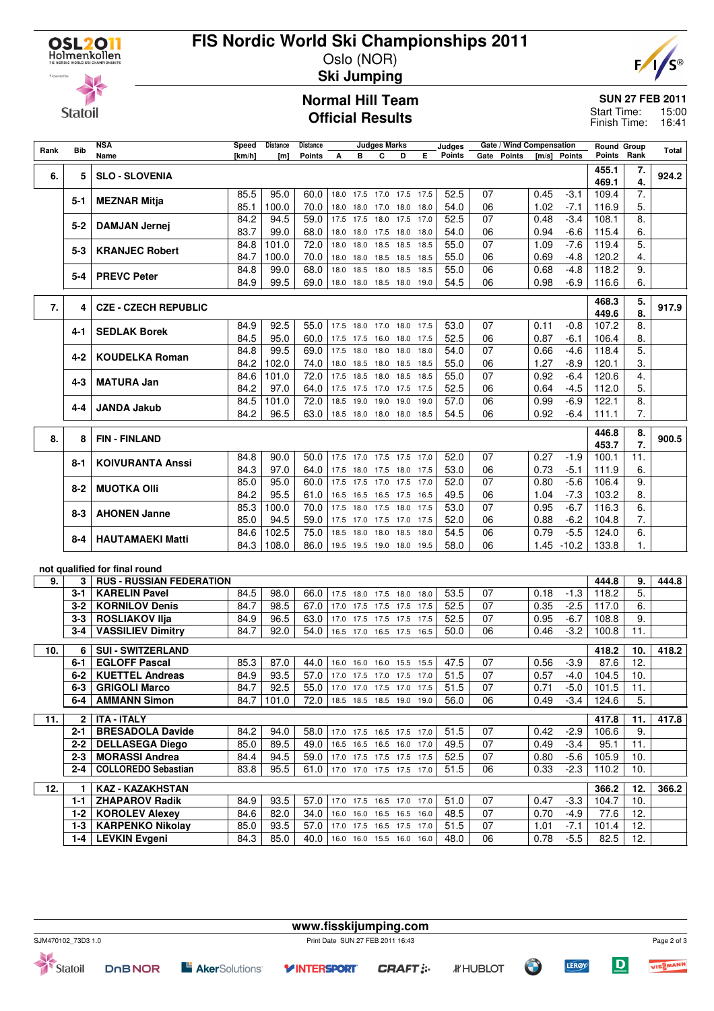

## **FIS Nordic World Ski Championships 2011** Oslo (NOR)

**Ski Jumping**



**Statoil** 

#### **Normal Hill Team Official Results**

## **SUN 27 FEB 2011**

Start Time: 15:00 16:41 Finish Time:

| Rank | <b>Bib</b>     | <b>NSA</b>                      | Speed        | <b>Distance</b> | Distance                      |                          |           | <b>Judges Marks</b> |                             |      | Judges           |          | Gate / Wind Compensation |              |                  | <b>Round Group</b> |          | Total |
|------|----------------|---------------------------------|--------------|-----------------|-------------------------------|--------------------------|-----------|---------------------|-----------------------------|------|------------------|----------|--------------------------|--------------|------------------|--------------------|----------|-------|
|      |                | Name                            | [km/h]       | [m]             | <b>Points</b>                 | А                        | в         | C                   | D                           | E.   | <b>Points</b>    |          | Gate Points              | [m/s]        | Points           | Points             | Rank     |       |
| 6.   | 5              | <b>SLO - SLOVENIA</b>           |              |                 |                               |                          |           |                     |                             |      |                  |          |                          |              |                  | 455.1<br>469.1     | 7.<br>4. | 924.2 |
|      | 5-1            | <b>MEZNAR Mitja</b>             | 85.5         | 95.0            | 60.0                          | 18.0                     |           |                     | 17.5 17.0 17.5 17.5         |      | 52.5             | 07       |                          | 0.45         | $-3.1$           | 109.4              | 7.       |       |
|      |                |                                 | 85.1         | 100.0           | 70.0                          | 18.0                     | 18.0 17.0 |                     | 18.0 18.0                   |      | 54.0             | 06       |                          | 1.02         | $-7.1$           | 116.9              | 5.       |       |
|      | 5-2            | <b>DAMJAN Jernej</b>            | 84.2<br>83.7 | 94.5<br>99.0    | 59.0<br>68.0                  | 17.5<br>18.0             | 17.5      | 18.0                | 17.5<br>18.0 17.5 18.0 18.0 | 17.0 | 52.5<br>54.0     | 07<br>06 |                          | 0.48<br>0.94 | $-3.4$<br>$-6.6$ | 108.1<br>115.4     | 8.<br>6. |       |
|      |                |                                 | 84.8         | 101.0           | 72.0                          | 18.0                     |           | 18.0 18.5           | 18.5                        | 18.5 | 55.0             | 07       |                          | 1.09         | $-7.6$           | 119.4              | 5.       |       |
|      | 5-3            | <b>KRANJEC Robert</b>           | 84.7         | 100.0           | 70.0                          | 18.0                     |           |                     | 18.0 18.5 18.5 18.5         |      | 55.0             | 06       |                          | 0.69         | $-4.8$           | 120.2              | 4.       |       |
|      |                |                                 | 84.8         | 99.0            | 68.0                          | 18.0                     | 18.5      | 18.0                | 18.5                        | 18.5 | 55.0             | 06       |                          | 0.68         | $-4.8$           | 118.2              | 9.       |       |
|      | 5-4            | <b>PREVC Peter</b>              | 84.9         | 99.5            | 69.0                          |                          |           |                     | 18.0 18.0 18.5 18.0 19.0    |      | 54.5             | 06       |                          | 0.98         | $-6.9$           | 116.6              | 6.       |       |
| 7.   | 4              | <b>CZE - CZECH REPUBLIC</b>     |              |                 |                               |                          |           |                     |                             |      |                  |          |                          |              |                  | 468.3<br>449.6     | 5.<br>8. | 917.9 |
|      |                |                                 | 84.9         | 92.5            | 55.0                          |                          |           |                     | 17.5 18.0 17.0 18.0 17.5    |      | 53.0             | 07       |                          | 0.11         | $-0.8$           | 107.2              | 8.       |       |
|      | 4-1            | <b>SEDLAK Borek</b>             | 84.5         | 95.0            | 60.0                          | 17.5                     |           |                     | 17.5 16.0 18.0 17.5         |      | 52.5             | 06       |                          | 0.87         | $-6.1$           | 106.4              | 8.       |       |
|      |                |                                 | 84.8         | 99.5            | 69.0                          | 17.5                     | 18.0 18.0 |                     | 18.0 18.0                   |      | 54.0             | 07       |                          | 0.66         | $-4.6$           | 118.4              | 5.       |       |
|      | 4-2            | <b>KOUDELKA Roman</b>           | 84.2         | 102.0           | 74.0                          | 18.0                     |           |                     | 18.5 18.0 18.5 18.5         |      | 55.0             | 06       |                          | 1.27         | $-8.9$           | 120.1              | 3.       |       |
|      | 4-3            | <b>MATURA Jan</b>               | 84.6         | 101.0           | 72.0                          | 17.5                     | 18.5 18.0 |                     | 18.5 18.5                   |      | 55.0             | 07       |                          | 0.92         | $-6.4$           | 120.6              | 4.       |       |
|      |                |                                 | 84.2         | 97.0            | 64.0                          | 17.5                     |           |                     | 17.5 17.0 17.5 17.5         |      | 52.5             | 06       |                          | 0.64         | $-4.5$           | 112.0              | 5.       |       |
|      | 4-4            | <b>JANDA Jakub</b>              | 84.5         | 101.0           | 72.0                          | 18.5                     | 19.0      | 19.0                | 19.0                        | 19.0 | 57.0             | 06       |                          | 0.99         | $-6.9$           | 122.1              | 8.       |       |
|      |                |                                 | 84.2         | 96.5            | 63.0                          |                          |           |                     | 18.5 18.0 18.0 18.0 18.5    |      | 54.5             | 06       |                          | 0.92         | $-6.4$           | 111.1              | 7.       |       |
| 8.   | 8              | <b>FIN-FINLAND</b>              |              |                 |                               |                          |           |                     |                             |      |                  |          |                          |              |                  | 446.8              | 8.<br>7. | 900.5 |
|      |                |                                 | 84.8         | 90.0            | 50.0                          |                          |           |                     | 17.5 17.0 17.5 17.5 17.0    |      | 52.0             | 07       |                          | 0.27         | $-1.9$           | 453.7<br>100.1     | 11.      |       |
|      | 8-1            | <b>KOIVURANTA Anssi</b>         | 84.3         | 97.0            | 64.0                          |                          |           |                     | 17.5 18.0 17.5 18.0 17.5    |      | 53.0             | 06       |                          | 0.73         | $-5.1$           | 111.9              | 6.       |       |
|      |                |                                 | 85.0         | 95.0            | 60.0                          | 17.5                     |           |                     | 17.5 17.0 17.5 17.0         |      | 52.0             | 07       |                          | 0.80         | $-5.6$           | 106.4              | 9.       |       |
|      | $8 - 2$        | <b>MUOTKA OIII</b>              | 84.2         | 95.5            | 61.0                          | 16.5                     |           |                     | 16.5 16.5 17.5 16.5         |      | 49.5             | 06       |                          | 1.04         | $-7.3$           | 103.2              | 8.       |       |
|      | 8-3            | <b>AHONEN Janne</b>             | 85.3         | 100.0           | 70.0                          | 17.5                     | 18.0      | 17.5                | 18.0                        | 17.5 | 53.0             | 07       |                          | 0.95         | $-6.7$           | 116.3              | 6.       |       |
|      |                |                                 | 85.0         | 94.5            | 59.0                          | 17.5                     |           |                     | 17.0 17.5 17.0 17.5         |      | 52.0             | 06       |                          | 0.88         | $-6.2$           | 104.8              | 7.       |       |
|      | 8-4            | <b>HAUTAMAEKI Matti</b>         | 84.6         | 102.5           | 75.0                          | 18.5                     | 18.0      | 18.0                | 18.5                        | 18.0 | 54.5             | 06       |                          | 0.79         | $-5.5$           | 124.0              | 6.       |       |
|      |                |                                 | 84.3         | 108.0           | 86.0                          |                          |           |                     | 19.5 19.5 19.0 18.0 19.5    |      | 58.0             | 06       |                          |              | $1.45 - 10.2$    | 133.8              | 1.       |       |
|      |                | not qualified for final round   |              |                 |                               |                          |           |                     |                             |      |                  |          |                          |              |                  |                    |          |       |
| 9.   | 3              | <b>RUS - RUSSIAN FEDERATION</b> |              |                 |                               |                          |           |                     |                             |      |                  |          |                          |              |                  | 444.8              | 9.       | 444.8 |
|      | 3-1            | <b>KARELIN Pavel</b>            | 84.5         | 98.0            | 66.0                          | 17.5                     |           | 18.0 17.5 18.0      |                             | 18.0 | 53.5             | 07       |                          | 0.18         | $-1.3$           | 118.2              | 5.       |       |
|      | 3-2            | <b>KORNILOV Denis</b>           | 84.7         | 98.5            | 67.0                          | 17.0                     |           | 17.5 17.5 17.5      |                             | 17.5 | 52.5             | 07       |                          | 0.35         | $-2.5$           | 117.0              | 6.       |       |
|      | 3-3            | <b>ROSLIAKOV IIja</b>           | 84.9         | 96.5            | 63.0                          | 17.0                     |           | 17.5 17.5 17.5      |                             | 17.5 | 52.5             | 07       |                          | 0.95         | $-6.7$           | 108.8              | 9.       |       |
|      | 3-4            | <b>VASSILIEV Dimitry</b>        | 84.7         | 92.0            | 54.0                          |                          |           |                     | 16.5 17.0 16.5 17.5 16.5    |      | 50.0             | 06       |                          | 0.46         | $-3.2$           | 100.8              | 11.      |       |
| 10.  | 6              | <b>SUI - SWITZERLAND</b>        |              |                 |                               |                          |           |                     |                             |      |                  |          |                          |              |                  | 418.2              | 10.      | 418.2 |
|      | 6-1            | <b>EGLOFF Pascal</b>            | 85.3         | 87.0            | 44.0                          |                          |           |                     | 16.0 16.0 16.0 15.5 15.5    |      | 47.5             | 07       |                          | 0.56         | $-3.9$           | 87.6               | 12.      |       |
|      |                | 6-2   KUETTEL Andreas           | 84.9         | 93.5            | 57.0 17.0 17.5 17.0 17.5 17.0 |                          |           |                     |                             |      | $\frac{1}{51.5}$ | 07       |                          | 0.57         |                  | $-4.0$ 104.5       | 10.      |       |
|      | 6-3            | <b>GRIGOLI Marco</b>            | 84.7         | 92.5            | 55.0                          |                          |           |                     | 17.0 17.0 17.5 17.0 17.5    |      | 51.5             | 07       |                          | 0.71         | $-5.0$           | 101.5              | 11.      |       |
|      | 6-4            | <b>AMMANN Simon</b>             | 84.7         | 101.0           | 72.0                          |                          |           |                     | 18.5 18.5 18.5 19.0 19.0    |      | 56.0             | 06       |                          | 0.49         | $-3.4$           | 124.6              | 5.       |       |
| 11.  | 2 <sup>1</sup> | <b>ITA - ITALY</b>              |              |                 |                               |                          |           |                     |                             |      |                  |          |                          |              |                  | 417.8              | 11.      | 417.8 |
|      | $2 - 1$        | <b>BRESADOLA Davide</b>         | 84.2         | 94.0            | 58.0                          |                          |           |                     | 17.0 17.5 16.5 17.5 17.0    |      | 51.5             | 07       |                          | 0.42         | $-2.9$           | 106.6              | 9.       |       |
|      | 2-2            | <b>DELLASEGA Diego</b>          | 85.0         | 89.5            | 49.0                          | 16.5                     |           |                     | 16.5 16.5 16.0 17.0         |      | 49.5             | 07       |                          | 0.49         | $-3.4$           | 95.1               | 11.      |       |
|      | $2 - 3$        | <b>MORASSI Andrea</b>           | 84.4         | 94.5            | 59.0 17.0 17.5 17.5 17.5 17.5 |                          |           |                     |                             |      | 52.5             | 07       |                          | 0.80         | $-5.6$           | 105.9              | 10.      |       |
|      | 2-4            | <b>COLLOREDO Sebastian</b>      | 83.8         | 95.5            | 61.0                          |                          |           |                     | 17.0 17.0 17.5 17.5 17.0    |      | 51.5             | 06       |                          | 0.33         | $-2.3$           | 110.2              | 10.      |       |
| 12.  | 1.             | <b>KAZ - KAZAKHSTAN</b>         |              |                 |                               |                          |           |                     |                             |      |                  |          |                          |              |                  | 366.2              | 12.      | 366.2 |
|      | 1-1            | <b>ZHAPAROV Radik</b>           | 84.9         | 93.5            | 57.0                          | 17.0 17.5 16.5 17.0 17.0 |           |                     |                             |      | 51.0             | 07       |                          | 0.47         | $-3.3$           | 104.7              | 10.      |       |
|      |                | 1-2   KOROLEV Alexey            | 84.6         | 82.0            | 34.0                          |                          |           |                     | 16.0 16.0 16.5 16.5 16.0    |      | 48.5             | 07       |                          | 0.70         | $-4.9$           | 77.6               | 12.      |       |
|      | $1-3$          | <b>KARPENKO Nikolay</b>         | 85.0         | 93.5            | 57.0                          | 17.0 17.5 16.5 17.5 17.0 |           |                     |                             |      | 51.5             | 07       |                          | 1.01         | $-7.1$           | 101.4              | 12.      |       |
|      | $1 - 4$        | <b>LEVKIN Evgeni</b>            | 84.3         | 85.0            | 40.0                          |                          |           |                     | 16.0 16.0 15.5 16.0 16.0    |      | 48.0             | 06       |                          | 0.78         | $-5.5$           | 82.5               | 12.      |       |

Statoil

**DOBNOR E** AkerSolutions<sup>®</sup>

**www.fisskijumping.com** SJM470102\_73D3 1.0 Print Date SUN 27 FEB 2011 16:43

**CRAFT:** 

**Y INTERSPORT** 

*IFHUBLOT* 

Page 2 of 3 VIESMANN

 $\boxed{\mathbf{D}}$ 

**LERØY**